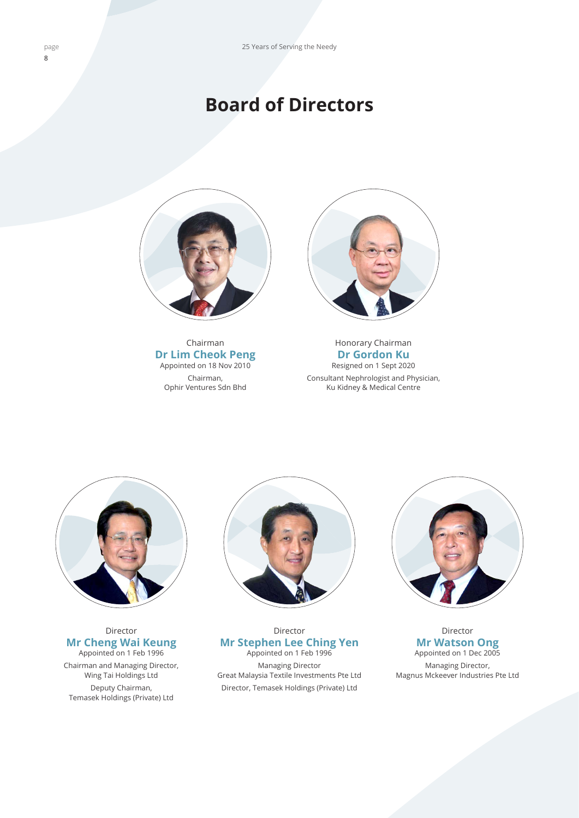## **Board of Directors**



Chairman **Dr Lim Cheok Peng** Appointed on 18 Nov 2010 Chairman, Ophir Ventures Sdn Bhd



Honorary Chairman **Dr Gordon Ku** Resigned on 1 Sept 2020 Consultant Nephrologist and Physician, Ku Kidney & Medical Centre



## Director **Mr Cheng Wai Keung**

Appointed on 1 Feb 1996 Chairman and Managing Director, Wing Tai Holdings Ltd Deputy Chairman, Temasek Holdings (Private) Ltd



Director **Mr Stephen Lee Ching Yen** Appointed on 1 Feb 1996 Managing Director Great Malaysia Textile Investments Pte Ltd Director, Temasek Holdings (Private) Ltd



Director **Mr Watson Ong** Appointed on 1 Dec 2005 Managing Director, Magnus Mckeever Industries Pte Ltd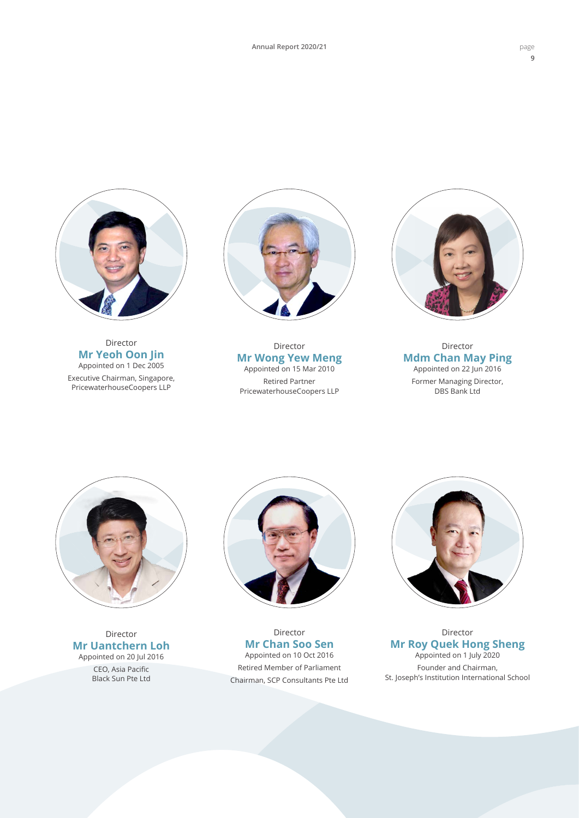

Director **Mr Yeoh Oon Jin** Appointed on 1 Dec 2005 Executive Chairman, Singapore, PricewaterhouseCoopers LLP



Director **Mr Wong Yew Meng** Appointed on 15 Mar 2010 Retired Partner PricewaterhouseCoopers LLP



Director **Mdm Chan May Ping** Appointed on 22 Jun 2016 Former Managing Director, DBS Bank Ltd



Director **Mr Uantchern Loh** Appointed on 20 Jul 2016 CEO, Asia Pacific Black Sun Pte Ltd



Director **Mr Chan Soo Sen** Appointed on 10 Oct 2016 Retired Member of Parliament Chairman, SCP Consultants Pte Ltd



Director **Mr Roy Quek Hong Sheng** Appointed on 1 July 2020 Founder and Chairman, St. Joseph's Institution International School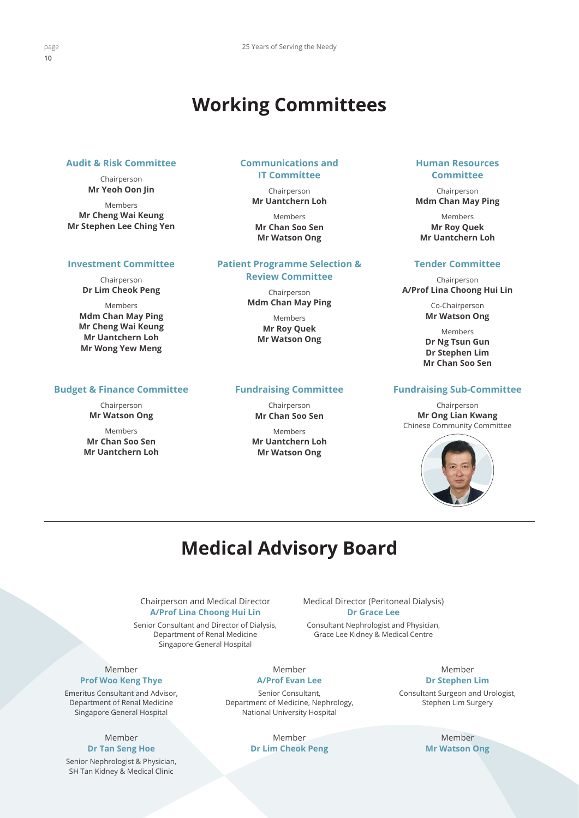## **Working Committees**

#### **Audit & Risk Committee**

Chairperson **Mr Yeoh Oon Jin** Members **Mr Cheng Wai Keung Mr Stephen Lee Ching Yen**

#### **Investment Committee**

Chairperson **Dr Lim Cheok Peng**

Members **Mdm Chan May Ping Mr Cheng Wai Keung Mr Uantchern Loh Mr Wong Yew Meng**

#### **Budget & Finance Committee**

Chairperson **Mr Watson Ong**

Members **Mr Chan Soo Sen Mr Uantchern Loh**

### **Communications and IT Committee**

Chairperson **Mr Uantchern Loh**

Members **Mr Chan Soo Sen Mr Watson Ong**

#### **Patient Programme Selection & Review Committee**

Chairperson **Mdm Chan May Ping**

> Members **Mr Roy Quek Mr Watson Ong**

#### **Fundraising Committee**

Chairperson **Mr Chan Soo Sen**

Members **Mr Uantchern Loh Mr Watson Ong**

### **Human Resources Committee**

Chairperson **Mdm Chan May Ping**

Members **Mr Roy Quek Mr Uantchern Loh**

### **Tender Committee**

Chairperson **A/Prof Lina Choong Hui Lin** Co-Chairperson

**Mr Watson Ong** Members

**Dr Ng Tsun Gun Dr Stephen Lim Mr Chan Soo Sen**

#### **Fundraising Sub-Committee**

Chairperson **Mr Ong Lian Kwang**  Chinese Community Committee



## **Medical Advisory Board**

### Chairperson and Medical Director **A/Prof Lina Choong Hui Lin**

Senior Consultant and Director of Dialysis, Department of Renal Medicine Singapore General Hospital

Medical Director (Peritoneal Dialysis) **Dr Grace Lee**

Consultant Nephrologist and Physician, Grace Lee Kidney & Medical Centre

#### Member **Prof Woo Keng Thye**

Emeritus Consultant and Advisor, Department of Renal Medicine Singapore General Hospital

> Member **Dr Tan Seng Hoe**

Senior Nephrologist & Physician, SH Tan Kidney & Medical Clinic

#### Member **A/Prof Evan Lee**

Senior Consultant,

Department of Medicine, Nephrology, National University Hospital

> Member **Dr Lim Cheok Peng**

#### Member **Dr Stephen Lim**

Consultant Surgeon and Urologist, Stephen Lim Surgery

> Member **Mr Watson Ong**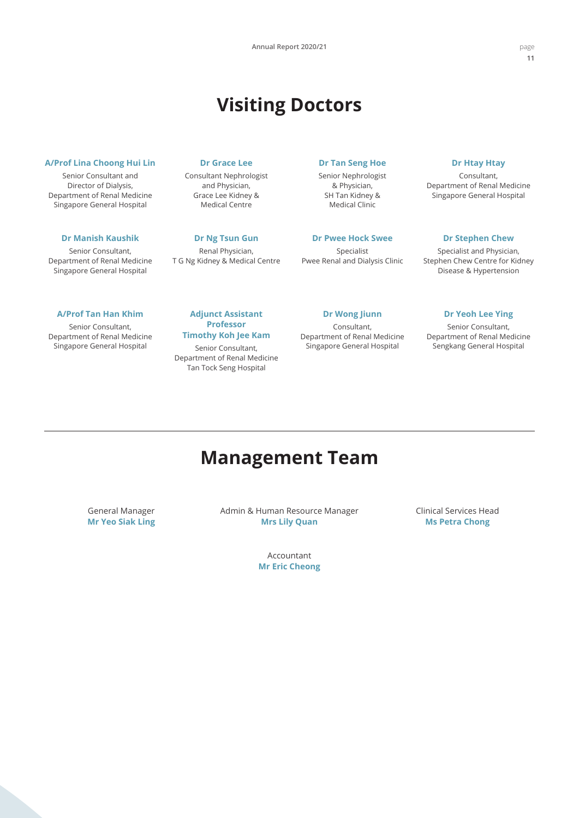# **Visiting Doctors**

#### **A/Prof Lina Choong Hui Lin**

Senior Consultant and Director of Dialysis, Department of Renal Medicine Singapore General Hospital

#### **Dr Manish Kaushik**

Senior Consultant, Department of Renal Medicine Singapore General Hospital

#### **A/Prof Tan Han Khim**

Senior Consultant, Department of Renal Medicine Singapore General Hospital

### **Dr Grace Lee**

Consultant Nephrologist and Physician, Grace Lee Kidney & Medical Centre

### **Dr Ng Tsun Gun**

Renal Physician, T G Ng Kidney & Medical Centre

**Adjunct Assistant Professor Timothy Koh Jee Kam** Senior Consultant, Department of Renal Medicine Tan Tock Seng Hospital

#### **Dr Tan Seng Hoe**

Senior Nephrologist & Physician, SH Tan Kidney & Medical Clinic

### **Dr Pwee Hock Swee**

Specialist Pwee Renal and Dialysis Clinic

#### **Dr Wong Jiunn**

Consultant, Department of Renal Medicine Singapore General Hospital

#### **Dr Htay Htay**

Consultant, Department of Renal Medicine Singapore General Hospital

## **Dr Stephen Chew**

Specialist and Physician, Stephen Chew Centre for Kidney Disease & Hypertension

## **Dr Yeoh Lee Ying**

Senior Consultant, Department of Renal Medicine Sengkang General Hospital

## **Management Team**

General Manager **Mr Yeo Siak Ling**  Admin & Human Resource Manager **Mrs Lily Quan** 

> Accountant **Mr Eric Cheong**

Clinical Services Head **Ms Petra Chong**